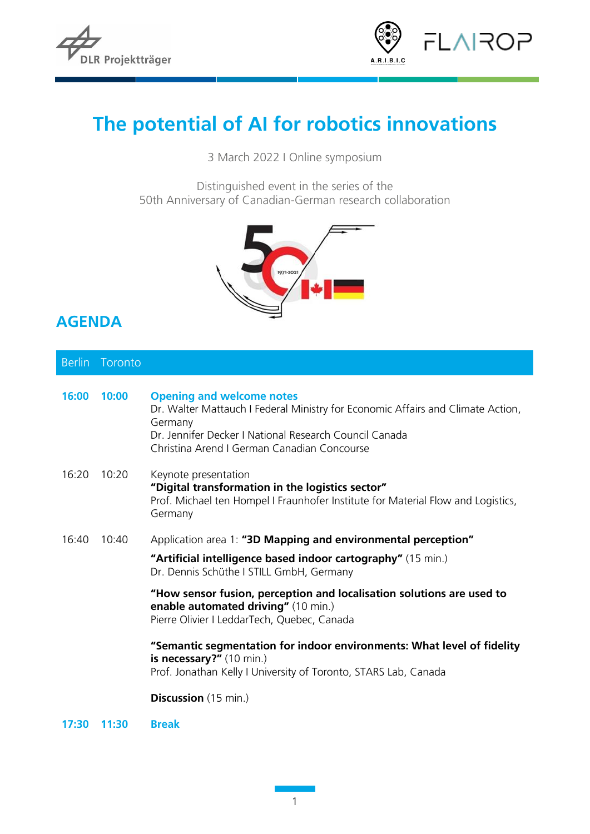



## **The potential of AI for robotics innovations**

3 March 2022 I Online symposium

Distinguished event in the series of the 50th Anniversary of Canadian-German research collaboration



## **AGENDA**

|       | Berlin Toronto |                                                                                                                                                                                                                                         |
|-------|----------------|-----------------------------------------------------------------------------------------------------------------------------------------------------------------------------------------------------------------------------------------|
| 16:00 | 10:00          | <b>Opening and welcome notes</b><br>Dr. Walter Mattauch I Federal Ministry for Economic Affairs and Climate Action,<br>Germany<br>Dr. Jennifer Decker I National Research Council Canada<br>Christina Arend I German Canadian Concourse |
| 16:20 | 10:20          | Keynote presentation<br>"Digital transformation in the logistics sector"<br>Prof. Michael ten Hompel I Fraunhofer Institute for Material Flow and Logistics,<br>Germany                                                                 |
| 16:40 | 10:40          | Application area 1: "3D Mapping and environmental perception"                                                                                                                                                                           |
|       |                | "Artificial intelligence based indoor cartography" (15 min.)<br>Dr. Dennis Schüthe I STILL GmbH, Germany                                                                                                                                |
|       |                | "How sensor fusion, perception and localisation solutions are used to<br>enable automated driving" (10 min.)<br>Pierre Olivier I LeddarTech, Quebec, Canada                                                                             |
|       |                | "Semantic segmentation for indoor environments: What level of fidelity<br>is necessary?" (10 min.)<br>Prof. Jonathan Kelly I University of Toronto, STARS Lab, Canada                                                                   |
|       |                | <b>Discussion</b> (15 min.)                                                                                                                                                                                                             |

**17:30 11:30 Break**